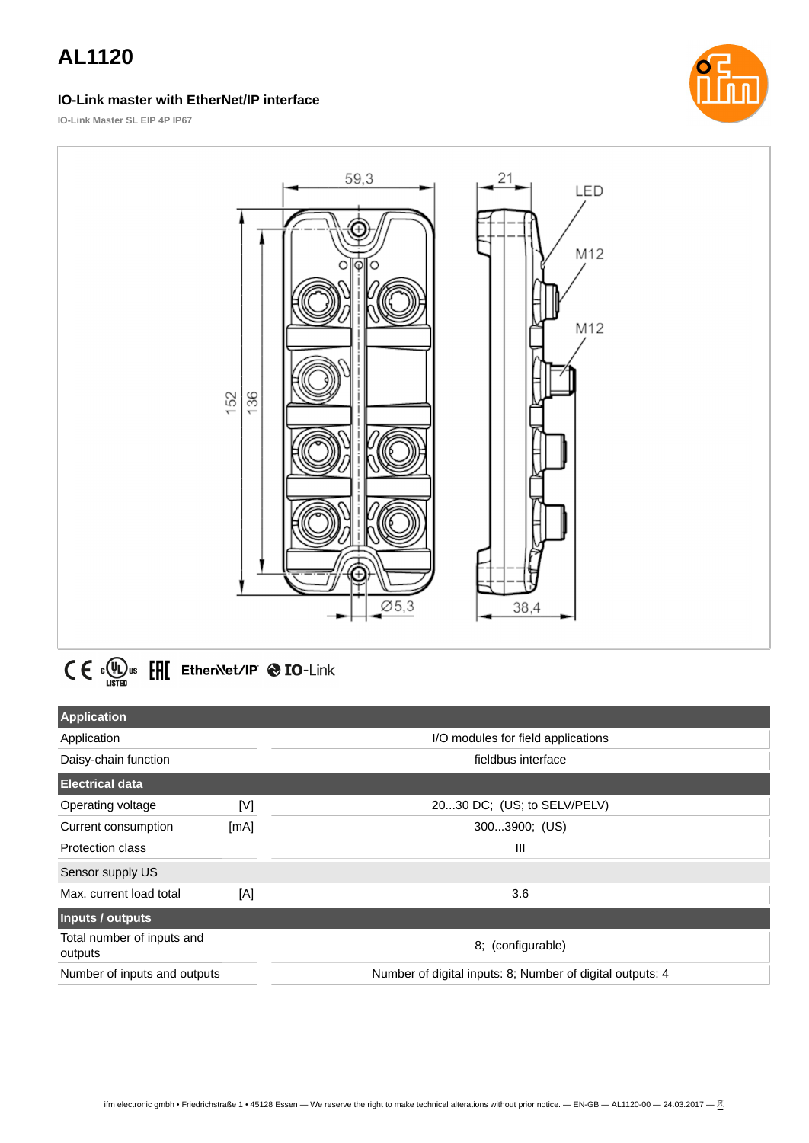#### **IO-Link master with EtherNet/IP interface**



**IO-Link Master SL EIP 4P IP67**



# $C \in \Omega_{\text{LSTED}}^{(n)}$ us  $E[\text{H}]$  EtherNet/IP  $\otimes$  IO-Link

| <b>Application</b>                    |      |                                                           |
|---------------------------------------|------|-----------------------------------------------------------|
| Application                           |      | I/O modules for field applications                        |
| Daisy-chain function                  |      | fieldbus interface                                        |
| <b>Electrical data</b>                |      |                                                           |
| Operating voltage                     | [V]  | 2030 DC; (US; to SELV/PELV)                               |
| Current consumption                   | [mA] | 3003900; (US)                                             |
| Protection class                      |      | $\mathbf{III}$                                            |
| Sensor supply US                      |      |                                                           |
| Max. current load total               | [A]  | 3.6                                                       |
| Inputs / outputs                      |      |                                                           |
| Total number of inputs and<br>outputs |      | 8; (configurable)                                         |
| Number of inputs and outputs          |      | Number of digital inputs: 8; Number of digital outputs: 4 |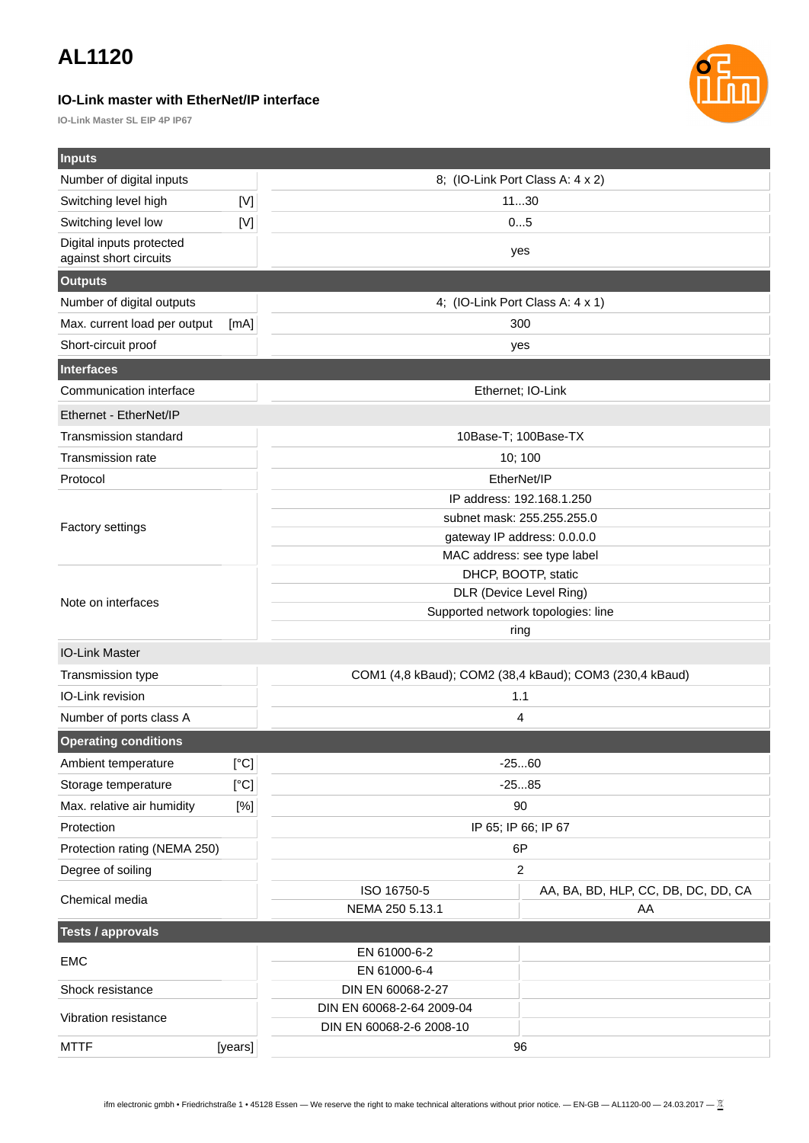#### **IO-Link master with EtherNet/IP interface**

**IO-Link Master SL EIP 4P IP67**



| Inputs                                             |             |                                                |                                                         |  |  |
|----------------------------------------------------|-------------|------------------------------------------------|---------------------------------------------------------|--|--|
| Number of digital inputs                           |             | 8; (IO-Link Port Class A: 4 x 2)               |                                                         |  |  |
| Switching level high                               | $[{\sf V}]$ | 1130                                           |                                                         |  |  |
| Switching level low                                | [V]         | 05                                             |                                                         |  |  |
| Digital inputs protected<br>against short circuits |             |                                                | yes                                                     |  |  |
|                                                    |             |                                                |                                                         |  |  |
| <b>Outputs</b>                                     |             |                                                |                                                         |  |  |
| Number of digital outputs                          |             | 4; (IO-Link Port Class A: 4 x 1)<br>300        |                                                         |  |  |
| Max. current load per output                       | [mA]        |                                                |                                                         |  |  |
| Short-circuit proof                                |             |                                                | yes                                                     |  |  |
| <b>Interfaces</b>                                  |             |                                                |                                                         |  |  |
| Communication interface                            |             |                                                | Ethernet; IO-Link                                       |  |  |
| Ethernet - EtherNet/IP                             |             |                                                |                                                         |  |  |
| Transmission standard                              |             |                                                | 10Base-T; 100Base-TX                                    |  |  |
| Transmission rate                                  |             |                                                | 10; 100                                                 |  |  |
| Protocol                                           |             |                                                | EtherNet/IP                                             |  |  |
|                                                    |             |                                                | IP address: 192.168.1.250                               |  |  |
| <b>Factory settings</b>                            |             | subnet mask: 255.255.255.0                     |                                                         |  |  |
|                                                    |             | gateway IP address: 0.0.0.0                    |                                                         |  |  |
|                                                    |             | MAC address: see type label                    |                                                         |  |  |
|                                                    |             |                                                | DHCP, BOOTP, static<br>DLR (Device Level Ring)          |  |  |
| Note on interfaces                                 |             | Supported network topologies: line             |                                                         |  |  |
|                                                    |             | ring                                           |                                                         |  |  |
| <b>IO-Link Master</b>                              |             |                                                |                                                         |  |  |
| Transmission type                                  |             |                                                | COM1 (4,8 kBaud); COM2 (38,4 kBaud); COM3 (230,4 kBaud) |  |  |
| IO-Link revision                                   |             | 1.1                                            |                                                         |  |  |
| Number of ports class A                            |             | 4                                              |                                                         |  |  |
| <b>Operating conditions</b>                        |             |                                                |                                                         |  |  |
| Ambient temperature                                | [°C]        | $-2560$                                        |                                                         |  |  |
| Storage temperature                                | [°C]        | $-2585$                                        |                                                         |  |  |
| Max. relative air humidity                         | [%]         | 90                                             |                                                         |  |  |
| Protection                                         |             | IP 65; IP 66; IP 67                            |                                                         |  |  |
| Protection rating (NEMA 250)                       |             | 6P                                             |                                                         |  |  |
| $\overline{c}$<br>Degree of soiling                |             |                                                |                                                         |  |  |
| Chemical media                                     |             | ISO 16750-5                                    | AA, BA, BD, HLP, CC, DB, DC, DD, CA                     |  |  |
|                                                    |             | NEMA 250 5.13.1                                | AA                                                      |  |  |
| <b>Tests / approvals</b>                           |             |                                                |                                                         |  |  |
| EMC                                                |             | EN 61000-6-2                                   |                                                         |  |  |
|                                                    |             | EN 61000-6-4                                   |                                                         |  |  |
| Shock resistance                                   |             | DIN EN 60068-2-27<br>DIN EN 60068-2-64 2009-04 |                                                         |  |  |
| Vibration resistance                               |             | DIN EN 60068-2-6 2008-10                       |                                                         |  |  |
| <b>MTTF</b>                                        | [years]     | 96                                             |                                                         |  |  |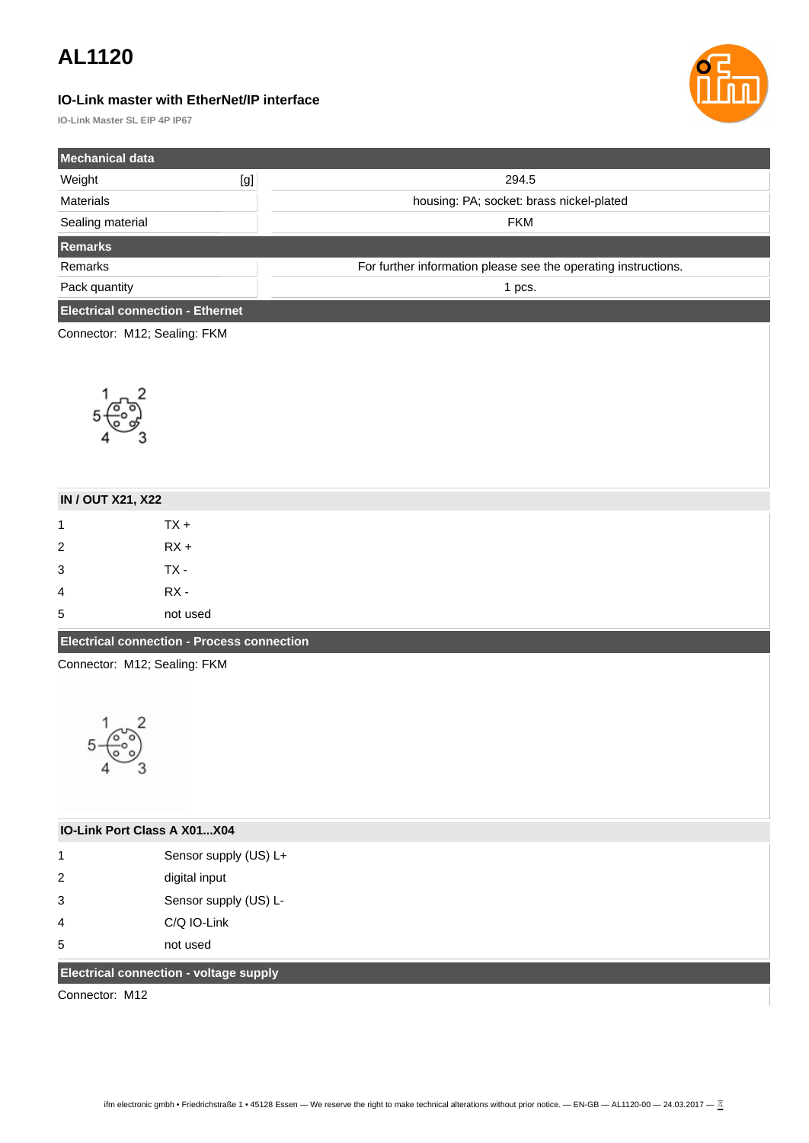#### **IO-Link master with EtherNet/IP interface**

**IO-Link Master SL EIP 4P IP67**

| <b>Mechanical data</b>                  |     |                                                                |
|-----------------------------------------|-----|----------------------------------------------------------------|
| Weight                                  | [g] | 294.5                                                          |
| <b>Materials</b>                        |     | housing: PA; socket: brass nickel-plated                       |
| Sealing material                        |     | <b>FKM</b>                                                     |
| <b>Remarks</b>                          |     |                                                                |
| Remarks                                 |     | For further information please see the operating instructions. |
| Pack quantity                           |     | 1 pcs.                                                         |
| <b>Electrical connection - Ethernet</b> |     |                                                                |
| Connector: M12; Sealing: FKM            |     |                                                                |
|                                         |     |                                                                |
|                                         |     |                                                                |



| <b>IN / OUT X21, X22</b>                          |          |  |
|---------------------------------------------------|----------|--|
| $\mathbf{1}$                                      | $TX +$   |  |
| $\overline{2}$                                    | $RX +$   |  |
| 3                                                 | TX -     |  |
| 4                                                 | RX -     |  |
| 5                                                 | not used |  |
| <b>Electrical connection - Process connection</b> |          |  |

Connector: M12; Sealing: FKM



| <b>IO-Link Port Class A X01X04</b> |                       |  |
|------------------------------------|-----------------------|--|
| 1                                  | Sensor supply (US) L+ |  |
| 2                                  | digital input         |  |
| 3                                  | Sensor supply (US) L- |  |
| 4                                  | C/O IO-Link           |  |
| 5                                  | not used              |  |

### **Electrical connection - voltage supply**

Connector: M12